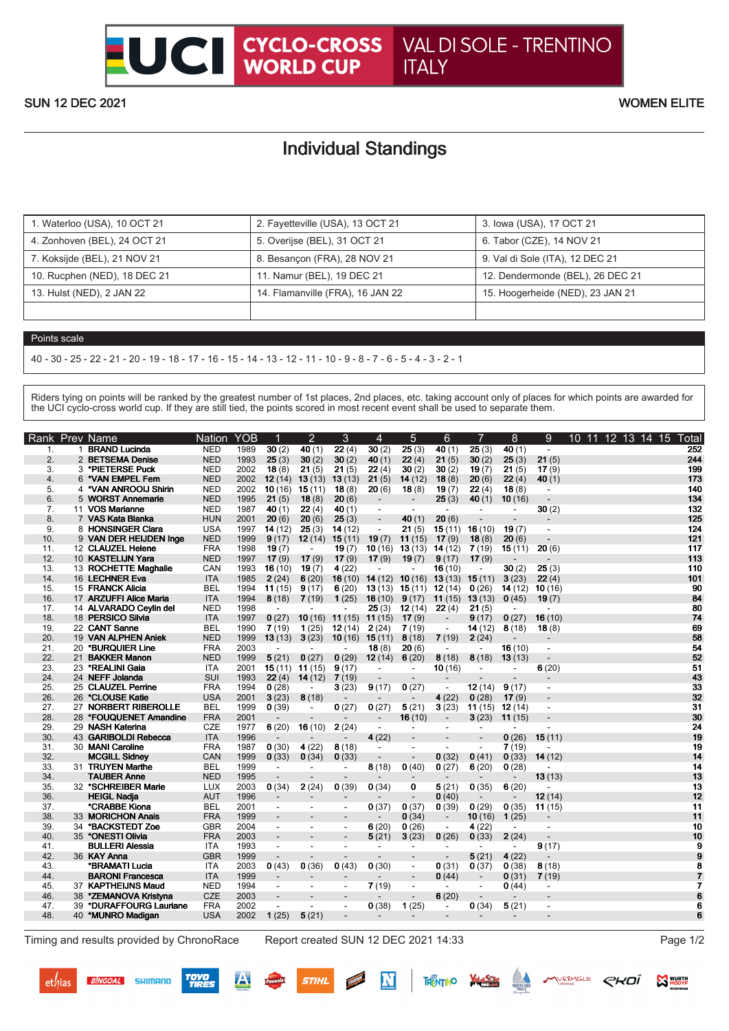

## Individual Standings

| 1. Waterloo (USA), 10 OCT 21 | 2. Fayetteville (USA), 13 OCT 21 | 3. Iowa (USA), 17 OCT 21         |
|------------------------------|----------------------------------|----------------------------------|
| 4. Zonhoven (BEL), 24 OCT 21 | 5. Overijse (BEL), 31 OCT 21     | 6. Tabor (CZE), 14 NOV 21        |
| 7. Koksijde (BEL), 21 NOV 21 | 8. Besançon (FRA), 28 NOV 21     | 9. Val di Sole (ITA), 12 DEC 21  |
| 10. Rucphen (NED), 18 DEC 21 | 11. Namur (BEL), 19 DEC 21       | 12. Dendermonde (BEL), 26 DEC 21 |
| 13. Hulst (NED), 2 JAN 22    | 14. Flamanville (FRA), 16 JAN 22 | 15. Hoogerheide (NED), 23 JAN 21 |
|                              |                                  |                                  |

## Points scale

40 - 30 - 25 - 22 - 21 - 20 - 19 - 18 - 17 - 16 - 15 - 14 - 13 - 12 - 11 - 10 - 9 - 8 - 7 - 6 - 5 - 4 - 3 - 2 - 1

Riders tying on points will be ranked by the greatest number of 1st places, 2nd places, etc. taking account only of places for which points are awarded for the UCI cyclo-cross world cup. If they are still tied, the points scored in most recent event shall be used to separate them.

| Rank       |    | Prev Name                              | Nation                   | <b>YOB</b>   |                                                      | $\overline{2}$           | 3                                                    | 4                        | 5                           | $6\phantom{1}$                    | 7                        | 8               | 9                        | 10 <sup>°</sup><br>11 | 12 13 14 15 | Гоtal            |
|------------|----|----------------------------------------|--------------------------|--------------|------------------------------------------------------|--------------------------|------------------------------------------------------|--------------------------|-----------------------------|-----------------------------------|--------------------------|-----------------|--------------------------|-----------------------|-------------|------------------|
| 1.         |    | 1 BRAND Lucinda                        | <b>NED</b>               | 1989         | 30(2)                                                | 40 $(1)$                 | 22(4)                                                | 30(2)                    | 25(3)                       | 40(1)                             | 25(3)                    | 40(1)           | $\mathbf{r}$             |                       |             | $\overline{252}$ |
| 2.         |    | 2 BETSEMA Denise                       | <b>NED</b>               | 1993         | 25(3)                                                | 30(2)                    | 30(2)                                                | 40 $(1)$                 | 22(4)                       | 21(5)                             | 30(2)                    | 25(3)           | 21(5)                    |                       |             | 244              |
| 3.         |    | 3 *PIETERSE Puck                       | <b>NED</b>               | 2002         | 18(8)                                                | 21(5)                    | 21(5)                                                | 22(4)                    | 30(2)                       | 30(2)                             | 19(7)                    | 21(5)           | 17(9)                    |                       |             | 199              |
| 4.         | 6  | *VAN EMPEL Fem                         | <b>NED</b>               | 2002         | 12(14)                                               | 13(13)                   | 13(13)                                               | 21(5)                    | 14(12)                      | 18(8)                             | 20(6)                    | 22(4)           | 40(1)                    |                       |             | 173              |
| 5.         |    | 4 *VAN ANROOIJ Shirin                  | <b>NED</b>               | 2002         | 10(16)                                               | 15(11)                   | 18(8)                                                | 20(6)                    | 18(8)                       | <b>19</b> $(7)$                   | 22(4)                    | 18(8)           | $\overline{\phantom{a}}$ |                       |             | 140              |
| 6.         |    | 5 WORST Annemarie                      | <b>NED</b>               | 1995         | 21(5)                                                | 18(8)                    | 20(6)                                                |                          | $\overline{\phantom{a}}$    | 25(3)                             | 40 $(1)$                 | 10(16)          |                          |                       |             | 134              |
| 7.         |    | 11 VOS Marianne                        | <b>NED</b>               | 1987         | 40 $(1)$                                             | 22(4)                    | 40(1)                                                | $\blacksquare$           |                             |                                   |                          |                 | 30(2)                    |                       |             | 132              |
| 8.         |    | 7 VAS Kata Blanka                      | <b>HUN</b>               | 2001         | 20(6)                                                | 20(6)                    | 25(3)                                                |                          | 40(1)                       | 20(6)                             |                          |                 | $\overline{a}$           |                       |             | 125              |
| 9.         |    | 8 HONSINGER Clara                      | <b>USA</b>               | 1997         | 14(12)                                               | 25(3)                    | 14(12)                                               | $\overline{\phantom{a}}$ | 21(5)                       | 15(11)                            | 16(10)                   | 19(7)           | $\blacksquare$           |                       |             | 124              |
| 10.        |    | 9 VAN DER HEIJDEN Inge                 | <b>NED</b>               | 1999         | 9(17)                                                | 12(14)                   | 15(11)                                               | 19(7)                    | 11(15)                      | 17(9)                             | 18(8)                    | 20(6)           |                          |                       |             | 121              |
| 11.        |    | 12 CLAUZEL Helene                      | <b>FRA</b>               | 1998         | 19(7)                                                |                          | 19(7)                                                | 10(16)                   | 13(13)                      | <b>14</b> (12)                    | 7(19)                    | 15(11)          | 20(6)                    |                       |             | 117              |
| 12.        |    | 10 KASTELIJN Yara                      | <b>NED</b>               | 1997         | 17(9)                                                | 17(9)                    | 17(9)                                                | 17(9)                    | 19(7)                       | 9(17)                             | 17(9)                    |                 |                          |                       |             | 113              |
| 13.<br>14. |    | 13 ROCHETTE Maghalie<br>16 LECHNER Eva | CAN<br><b>ITA</b>        | 1993<br>1985 | 16(10)                                               | 19(7)                    | 4(22)<br>16(10)                                      | 14(12)                   |                             | 16(10)<br>13(13)                  |                          | 30(2)<br>3(23)  | 25(3)<br>22(4)           |                       |             | 110<br>101       |
| 15.        |    | 15 FRANCK Alicia                       | BEL                      | 1994         | 2(24)                                                | 6(20)                    |                                                      |                          | 10(16)<br>$13(13)$ $15(11)$ |                                   | 15(11)                   |                 |                          |                       |             | 90               |
| 16.        |    | 17 ARZUFFI Alice Maria                 | <b>ITA</b>               | 1994         | 11(15)<br>8(18)                                      | 9(17)<br>7(19)           | 6(20)<br>1(25)                                       | 16(10)                   | 9(17)                       | 12(14)<br>11(15)                  | 0(26)                    | 14(12)<br>0(45) | 10(16)<br>19(7)          |                       |             | 84               |
| 17.        |    | 14 ALVARADO Ceylin del                 | <b>NED</b>               | 1998         |                                                      |                          |                                                      | 25(3)                    | 12(14)                      | 22(4)                             | 13(13)<br>21(5)          |                 |                          |                       |             | 80               |
| 18.        |    | 18 PERSICO Silvia                      | <b>ITA</b>               | 1997         | 0(27)                                                | 10(16)                   | 11(15)                                               | 11(15)                   | 17(9)                       |                                   | 9(17)                    | 0(27)           | 16(10)                   |                       |             | 74               |
| 19.        |    | 22 CANT Sanne                          | <b>BEL</b>               | 1990         | 7(19)                                                | 1 $(25)$                 | 12(14)                                               | 2(24)                    | 7(19)                       | $\blacksquare$                    | 14(12)                   | 8(18)           | 18(8)                    |                       |             | 69               |
| 20.        |    | 19 VAN ALPHEN Aniek                    | <b>NED</b>               | 1999         | 13(13)                                               | 3(23)                    | 10(16)                                               | 15(11)                   | 8(18)                       | 7(19)                             | 2(24)                    |                 | $\overline{\phantom{a}}$ |                       |             | 58               |
| 21.        | 20 | *BURQUIER Line                         | <b>FRA</b>               | 2003         |                                                      |                          |                                                      | 18(8)                    | 20(6)                       | $\sim$                            | $\overline{\phantom{a}}$ | 16(10)          | $\blacksquare$           |                       |             | 54               |
| 22.        |    | 21 BAKKER Manon                        | <b>NED</b>               | 1999         | 5(21)                                                | 0(27)                    | 0(29)                                                | 12(14)                   | 6(20)                       | 8(18)                             | 8(18)                    | 13(13)          |                          |                       |             | 52               |
| 23.        | 23 | *REALINI Gaia                          | <b>ITA</b>               | 2001         | 15(11)                                               | 11(15)                   | 9(17)                                                | $\overline{\phantom{a}}$ | $\overline{\phantom{a}}$    | 10(16)                            |                          |                 | 6(20)                    |                       |             | 51               |
| 24.        |    | 24 NEFF Jolanda                        | SUI                      | 1993         | 22(4)                                                | 14(12)                   | 7(19)                                                |                          |                             |                                   |                          |                 | $\overline{\phantom{a}}$ |                       |             | 43               |
| 25.        |    | 25 CLAUZEL Perrine                     | <b>FRA</b>               | 1994         | 0(28)                                                |                          | 3(23)                                                | 9(17)                    | 0(27)                       | $\overline{\phantom{a}}$          | 12(14)                   | 9(17)           | $\blacksquare$           |                       |             | 33               |
| 26.        | 26 | *CLOUSE Katie                          | <b>USA</b>               | 2001         | 3(23)                                                | 8(18)                    |                                                      |                          |                             | 4(22)                             | 0(28)                    | 17(9)           | $\blacksquare$           |                       |             | 32               |
| 27.        | 27 | NORBERT RIBEROLLE                      | BEL                      | 1999         | 0(39)                                                | $\overline{\phantom{a}}$ | 0(27)                                                | 0(27)                    | 5(21)                       | 3(23)                             | 11(15)                   | 12(14)          | $\overline{\phantom{a}}$ |                       |             | 31               |
| 28.        |    | 28 *FOUQUENET Amandine                 | <b>FRA</b>               | 2001         |                                                      |                          |                                                      |                          | 16(10)                      |                                   | 3(23)                    | 11(15)          |                          |                       |             | 30               |
| 29.        | 29 | <b>NASH Katerina</b>                   | <b>CZE</b>               | 1977         | 6(20)                                                | 16(10)                   | 2(24)                                                | $\blacksquare$           |                             | $\overline{\phantom{a}}$          |                          |                 |                          |                       |             | 24               |
| 30.        |    | 43 GARIBOLDI Rebecca                   | <b>ITA</b>               | 1996         |                                                      |                          |                                                      | 4(22)                    |                             |                                   |                          | 0(26)           | 15(11)                   |                       |             | 19               |
| 31.        |    | 30 MANI Caroline                       | <b>FRA</b>               | 1987         | 0(30)                                                | 4(22)                    | 8(18)                                                | $\overline{\phantom{a}}$ | $\overline{\phantom{a}}$    | $\overline{a}$                    | $\sim$                   | 7(19)           |                          |                       |             | 19               |
| 32.        |    | <b>MCGILL Sidney</b>                   | CAN                      | 1999         | 0(33)                                                | 0(34)                    | 0(33)                                                |                          |                             | 0(32)                             | 0(41)                    | 0(33)           | 14(12)                   |                       |             | 14               |
| 33.        |    | 31 TRUYEN Marthe                       | <b>BEL</b>               | 1999         |                                                      |                          |                                                      | 8(18)                    | 0(40)                       | 0(27)                             | 6(20)                    | 0(28)           |                          |                       |             | 14               |
| 34.        |    | <b>TAUBER Anne</b>                     | <b>NED</b>               | 1995         |                                                      |                          |                                                      |                          |                             |                                   |                          |                 | 13(13)                   |                       |             | 13               |
| 35.        |    | 32 *SCHREIBER Marie                    | <b>LUX</b>               | 2003         | 0(34)                                                | 2(24)                    | 0(39)                                                | 0(34)                    | 0                           | 5(21)                             | 0(35)                    | 6(20)           |                          |                       |             | 13               |
| 36.        |    | <b>HEIGL Nadja</b>                     | <b>AUT</b>               | 1996         |                                                      |                          |                                                      |                          |                             | 0(40)                             |                          |                 | 12(14)                   |                       |             | 12               |
| 37.        |    | *CRABBE Kiona                          | <b>BEL</b>               | 2001         | $\overline{\phantom{a}}$                             | $\blacksquare$           | $\overline{\phantom{a}}$                             | 0(37)                    | 0(37)                       | 0(39)                             | 0(29)                    | 0(35)           | 11(15)                   |                       |             | 11               |
| 38.        |    | 33 MORICHON Anais                      | <b>FRA</b>               | 1999         | $\overline{\phantom{a}}$                             |                          |                                                      |                          | 0(34)                       | $\overline{\phantom{a}}$          | 10(16)                   | 1(25)           |                          |                       |             | 11               |
| 39.<br>40. | 34 | *BACKSTEDT Zoe<br>35 *ONESTI Olivia    | <b>GBR</b><br><b>FRA</b> | 2004<br>2003 | $\overline{\phantom{a}}$<br>$\overline{\phantom{a}}$ | $\blacksquare$           | $\overline{\phantom{a}}$<br>$\overline{\phantom{a}}$ | 6(20)<br>5(21)           | 0(26)<br>3(23)              | $\overline{\phantom{a}}$<br>0(26) | 4(22)<br>0(33)           | 2(24)           |                          |                       |             | 10<br>10         |
| 41.        |    | <b>BULLERI Alessia</b>                 | <b>ITA</b>               | 1993         | $\blacksquare$                                       | $\overline{a}$           | $\sim$                                               | $\blacksquare$           |                             | $\overline{\phantom{a}}$          |                          | $\sim$          | 9(17)                    |                       |             | 9                |
| 42.        |    | 36 KAY Anna                            | <b>GBR</b>               | 1999         |                                                      |                          |                                                      |                          |                             |                                   | 5(21)                    | 4(22)           |                          |                       |             | 9                |
| 43.        |    | *BRAMATI Lucia                         | <b>ITA</b>               | 2003         | 0(43)                                                | 0(36)                    | 0(43)                                                | 0(30)                    | $\sim$                      | 0(31)                             | 0(37)                    | 0(38)           | 8(18)                    |                       |             | 8                |
| 44.        |    | <b>BARONI Francesca</b>                | <b>ITA</b>               | 1999         |                                                      |                          |                                                      |                          | $\overline{\phantom{a}}$    | 0(44)                             | $\overline{\phantom{a}}$ | 0(31)           | 7(19)                    |                       |             | $\overline{7}$   |
| 45.        |    | 37 KAPTHEIJNS Maud                     | <b>NED</b>               | 1994         | $\blacksquare$                                       | $\blacksquare$           | $\sim$                                               | 7(19)                    | $\blacksquare$              | $\sim$                            | $\blacksquare$           | 0(44)           | $\overline{\phantom{a}}$ |                       |             | $\overline{7}$   |
| 46.        |    | 38 *ZEMANOVA Kristyna                  | <b>CZE</b>               | 2003         | $\overline{\phantom{a}}$                             |                          | $\overline{\phantom{a}}$                             |                          |                             | 6(20)                             |                          |                 | $\overline{\phantom{a}}$ |                       |             | 6                |
| 47.        | 39 | *DURAFFOURG Lauriane                   | <b>FRA</b>               | 2002         | $\overline{\phantom{a}}$                             | $\blacksquare$           | $\blacksquare$                                       | 0(38)                    | 1(25)                       | $\overline{\phantom{a}}$          | 0(34)                    | 5(21)           | $\overline{\phantom{a}}$ |                       |             | 6                |
| 48.        |    | 40 *MUNRO Madigan                      | <b>USA</b>               | 2002         | 1(25)                                                | 5(21)                    |                                                      |                          |                             |                                   |                          |                 |                          |                       |             | 6                |
|            |    |                                        |                          |              |                                                      |                          |                                                      |                          |                             |                                   |                          |                 |                          |                       |             |                  |

Timing and results provided by ChronoRace Report created SUN 12 DEC 2021 14:33 Page 1/2

**TOYO<br>TIRES** 

 $\mathbf{N}$ 

**MARKAMT** 

**STIHL** 

**MODYE** 

THENTINO WELL A MERMIGLIO CHOI